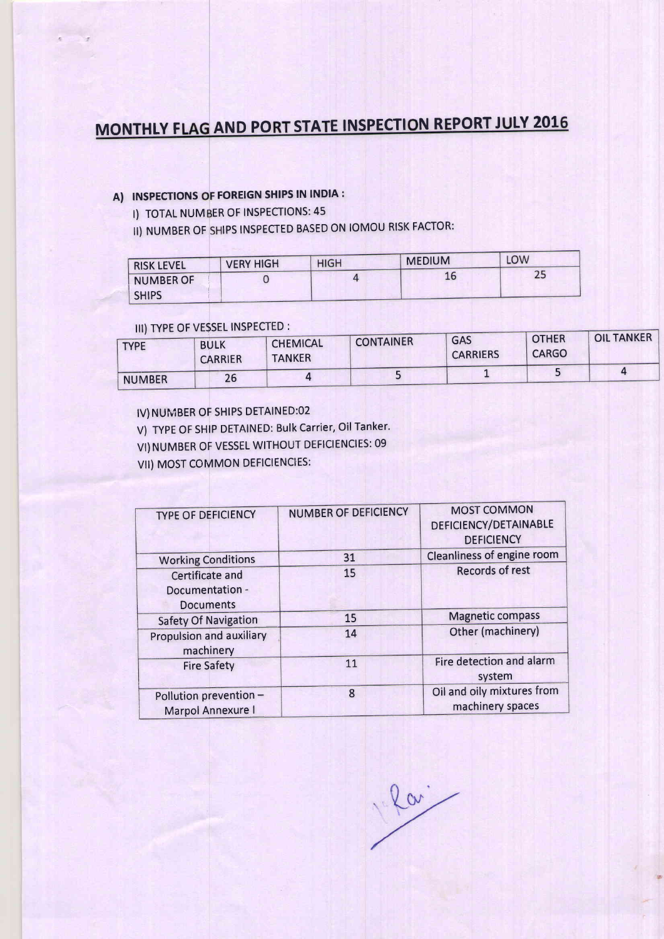# MONTHLY FLAG AND PORT STATE INSPECTION REPORT JULY 2016

## A) INSPECTIONS OF FOREIGN SHIPS IN INDIA :

I) TOTAL NUMBER OF INSPECTIONS: 45

II) NUMBER OF SHIPS INSPECTED BASED ON IOMOU RISK FACTOR

| <b>RISK LEVEL</b> | <b>VERY HIGH</b> | <b>HIGH</b> | <b>MEDIUM</b> | LOW |
|-------------------|------------------|-------------|---------------|-----|
| <b>NUMBER OF</b>  |                  |             | 16            | 25  |
| <b>SHIPS</b>      |                  |             |               |     |

#### ilr) TYPE OF VE\$SEL INSPECTED :

| <b>TYPE</b>   | <b>BULK</b><br><b>CARRIER</b> | <b>CHEMICAL</b><br><b>TANKER</b> | <b>CONTAINER</b> | GAS<br><b>CARRIERS</b> | <b>OTHER</b><br><b>CARGO</b> | <b>OIL TANKER</b> |
|---------------|-------------------------------|----------------------------------|------------------|------------------------|------------------------------|-------------------|
| <b>NUMBER</b> | 26                            |                                  |                  |                        |                              |                   |

IV) NUMBER OF SHIPS DETAINED:02

V) TYPE OF SHIP DETAINED: Bulk Carrier, Oil Tanker.

VI) NUMBER OF VESSEL WITHOUT DEFICIENCIES: 09

VII) MOST COMMON DEFICIENCIES:

| <b>TYPE OF DEFICIENCY</b>                              | NUMBER OF DEFICIENCY | <b>MOST COMMON</b><br>DEFICIENCY/DETAINABLE<br><b>DEFICIENCY</b> |
|--------------------------------------------------------|----------------------|------------------------------------------------------------------|
| <b>Working Conditions</b>                              | 31                   | Cleanliness of engine room                                       |
| Certificate and<br>Documentation -<br><b>Documents</b> | 15                   | <b>Records of rest</b>                                           |
| <b>Safety Of Navigation</b>                            | 15                   | <b>Magnetic compass</b>                                          |
| Propulsion and auxiliary<br>machinery                  | 14                   | Other (machinery)                                                |
| <b>Fire Safety</b>                                     | 11                   | Fire detection and alarm<br>system                               |
| Pollution prevention -<br>Marpol Annexure I            | 8                    | Oil and oily mixtures from<br>machinery spaces                   |

lai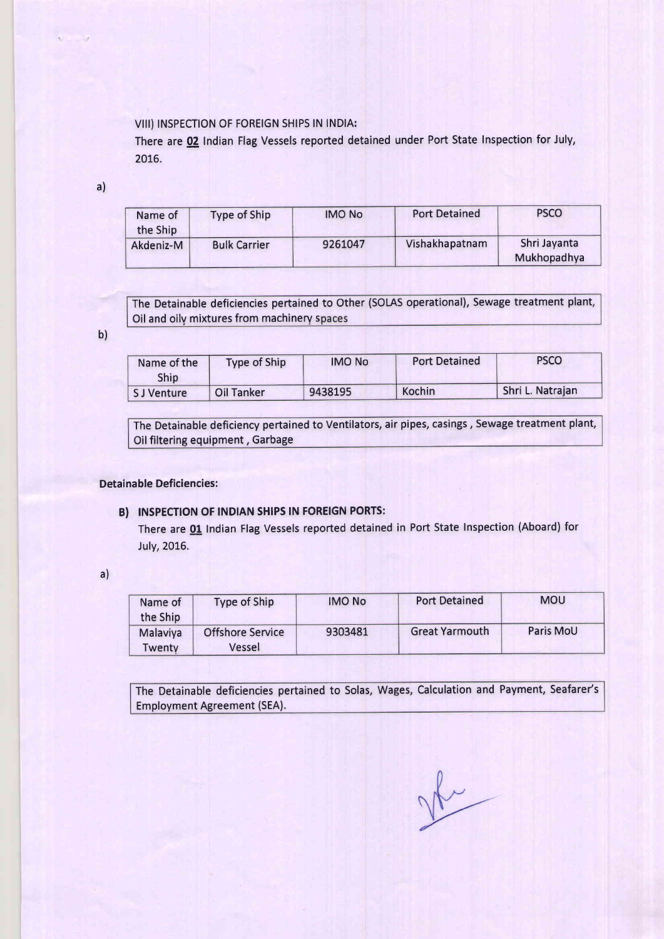#### VIII) INSPECTION OF FOREIGN SHIPS IN INDIA:

There are 02 Indian Flag Vessels reported detained under Port State Inspection for July, 2016.

a)

| Name of<br>the Ship | Type of Ship        | <b>IMO No</b> | <b>Port Detained</b> | <b>PSCO</b>                 |
|---------------------|---------------------|---------------|----------------------|-----------------------------|
| Akdeniz-M           | <b>Bulk Carrier</b> | 9261047       | Vishakhapatnam       | Shri Jayanta<br>Mukhopadhya |

The Detainable deficiencies pertained to Other (SOLAS operational), Sewage treatment plant, Oil and oily mixtures from machinery spaces

b)

| Name of the<br>Ship | <b>Type of Ship</b> | <b>IMO No</b> | <b>Port Detained</b> | <b>PSCO</b>      |
|---------------------|---------------------|---------------|----------------------|------------------|
| <b>SJ</b> Venture   | Oil Tanker          | 9438195       | Kochin               | Shri L. Natrajan |

The Detainable deficiency pertained to Ventilators, air pipes, casings, Sewage treatment plant, Oil filtering equipment, Garbage

## Detainable Deficiencies:

## B) INSPECTION OF INDIAN SHIPS IN FOREIGN PORTS:

There are 01 Indian Flag Vessels reported detained in Port State Inspection (Aboard) for July, 2016.

a)

| Name of<br>the Ship       | <b>Type of Ship</b>               | <b>IMO No</b> | <b>Port Detained</b>  | <b>MOU</b> |
|---------------------------|-----------------------------------|---------------|-----------------------|------------|
| Malaviya<br><b>Twenty</b> | <b>Offshore Service</b><br>Vessel | 9303481       | <b>Great Yarmouth</b> | Paris MoU  |

The Detainable deficiencies pertained to Solas, Wages, Calculation and Payment, Seafare/s Employment Agreement (SEA).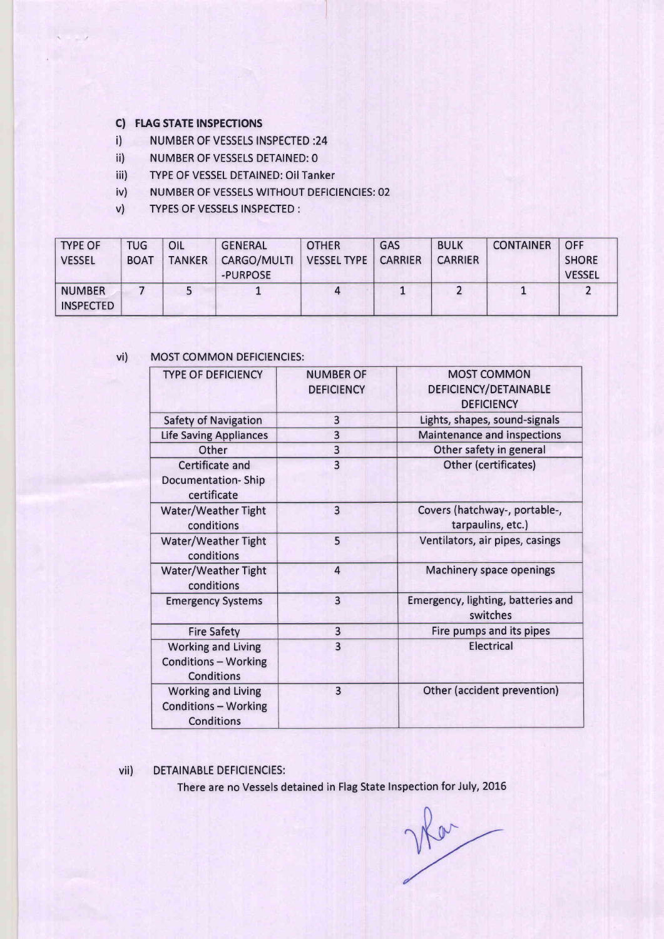#### C) FLAG STATE INSPECTIONS

i) NUMBER OF VESSELS INSPECTED :24

- ii) NUMBER OF VESSELS DETAINED:0
- iii) TYPE OF VESSEL DETAINED: Oil Tanker
- iv) NUMBER OF VESSELS WITHOUT DEFICIENCIES: <sup>02</sup>
- v) TYPES OF VESSELS INSPECTED :

| <b>TYPE OF</b>                    | <b>TUG</b>  | OIL           | <b>GENERAL</b> | <b>OTHER</b>                 | GAS | <b>BULK</b>    | <b>CONTAINER</b> | <b>OFF</b>    |
|-----------------------------------|-------------|---------------|----------------|------------------------------|-----|----------------|------------------|---------------|
| <b>VESSEL</b>                     | <b>BOAT</b> | <b>TANKER</b> | CARGO/MULTI    | <b>VESSEL TYPE   CARRIER</b> |     | <b>CARRIER</b> |                  | <b>SHORE</b>  |
|                                   |             |               | -PURPOSE       |                              |     |                |                  | <b>VESSEL</b> |
| <b>NUMBER</b><br><b>INSPECTED</b> |             |               |                |                              |     |                |                  |               |

## vi) MOST COMMON DEFICIENCIES:

| <b>TYPE OF DEFICIENCY</b>                                                     | <b>NUMBER OF</b><br><b>DEFICIENCY</b> | <b>MOST COMMON</b><br>DEFICIENCY/DETAINABLE<br><b>DEFICIENCY</b> |
|-------------------------------------------------------------------------------|---------------------------------------|------------------------------------------------------------------|
| Safety of Navigation                                                          | 3                                     | Lights, shapes, sound-signals                                    |
| <b>Life Saving Appliances</b>                                                 | 3                                     | Maintenance and inspections                                      |
| Other                                                                         | 3                                     | Other safety in general                                          |
| Certificate and<br><b>Documentation-Ship</b><br>certificate                   | $\overline{3}$                        | Other (certificates)                                             |
| Water/Weather Tight<br>conditions                                             | $\overline{3}$                        | Covers (hatchway-, portable-,<br>tarpaulins, etc.)               |
| Water/Weather Tight<br>conditions                                             | 5                                     | Ventilators, air pipes, casings                                  |
| Water/Weather Tight<br>conditions                                             | $\overline{4}$                        | Machinery space openings                                         |
| <b>Emergency Systems</b>                                                      | 3                                     | Emergency, lighting, batteries and<br>switches                   |
| <b>Fire Safety</b>                                                            | 3                                     | Fire pumps and its pipes                                         |
| <b>Working and Living</b><br><b>Conditions - Working</b><br>Conditions        | $\overline{3}$                        | <b>Electrical</b>                                                |
| <b>Working and Living</b><br><b>Conditions - Working</b><br><b>Conditions</b> | $\overline{\mathbf{3}}$               | Other (accident prevention)                                      |

## vii) DETAINABLE DEFICIENCIES:

There are no Vessels detained in Flag State Inspection for July, 2016